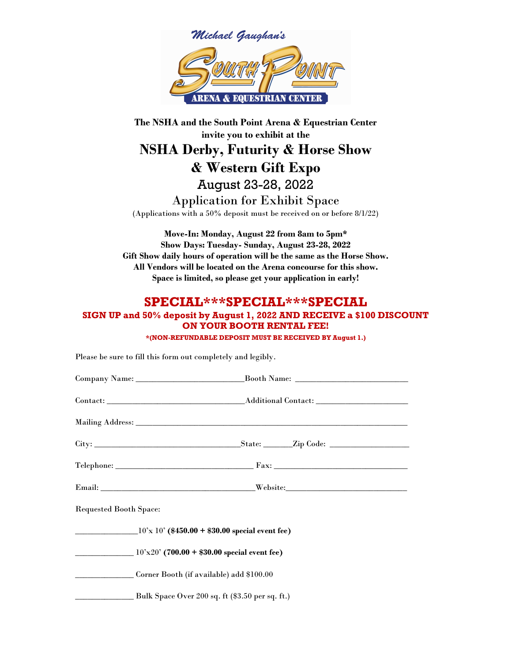

The NSHA and the South Point Arena & Equestrian Center invite you to exhibit at the NSHA Derby, Futurity & Horse Show & Western Gift Expo August 23-28, 2022 Application for Exhibit Space (Applications with a 50% deposit must be received on or before 8/1/22)

Move-In: Monday, August 22 from 8am to 5pm\* Show Days: Tuesday- Sunday, August 23-28, 2022 Gift Show daily hours of operation will be the same as the Horse Show. All Vendors will be located on the Arena concourse for this show. Space is limited, so please get your application in early!

## SPECIAL\*\*\*SPECIAL\*\*\*SPECIAL

## SIGN UP and 50% deposit by August 1, 2022 AND RECEIVE a \$100 DISCOUNT ON YOUR BOOTH RENTAL FEE! \*(NON-REFUNDABLE DEPOSIT MUST BE RECEIVED BY August 1.)

Please be sure to fill this form out completely and legibly.

| <b>Requested Booth Space:</b>                           |  |
|---------------------------------------------------------|--|
| $10' \times 10'$ (\$450.00 + \$30.00 special event fee) |  |
| $10'x20'$ (700.00 + \$30.00 special event fee)          |  |
| Corner Booth (if available) add \$100.00                |  |
| Bulk Space Over 200 sq. ft (\$3.50 per sq. ft.)         |  |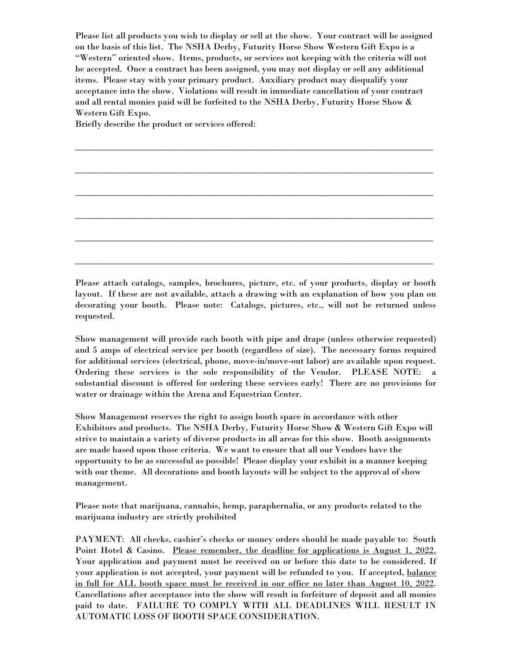Please list all products you wish to display or sell at the show. Your contract will be assigned on the basis of this list. The NSHA Derby, Futurity Horse Show Western Gift Expo is a "Western" oriented show. Items, products, or services not keeping with the criteria will not be accepted. Once a contract has been assigned, you may not display or sell any additional items. Please stay with your primary product. Auxiliary product may disqualify your acceptance into the show. Violations will result in immediate cancellation of your contract and all rental monies paid will be forfeited to the NSHA Derby, Futurity Horse Show & Western Gift Expo.

\_\_\_\_\_\_\_\_\_\_\_\_\_\_\_\_\_\_\_\_\_\_\_\_\_\_\_\_\_\_\_\_\_\_\_\_\_\_\_\_\_\_\_\_\_\_\_\_\_\_\_\_\_\_\_\_\_\_\_\_\_\_\_\_\_\_\_\_\_\_\_\_\_\_\_\_\_\_

\_\_\_\_\_\_\_\_\_\_\_\_\_\_\_\_\_\_\_\_\_\_\_\_\_\_\_\_\_\_\_\_\_\_\_\_\_\_\_\_\_\_\_\_\_\_\_\_\_\_\_\_\_\_\_\_\_\_\_\_\_\_\_\_\_\_\_\_\_\_\_\_\_\_\_\_\_\_

\_\_\_\_\_\_\_\_\_\_\_\_\_\_\_\_\_\_\_\_\_\_\_\_\_\_\_\_\_\_\_\_\_\_\_\_\_\_\_\_\_\_\_\_\_\_\_\_\_\_\_\_\_\_\_\_\_\_\_\_\_\_\_\_\_\_\_\_\_\_\_\_\_\_\_\_\_\_

\_\_\_\_\_\_\_\_\_\_\_\_\_\_\_\_\_\_\_\_\_\_\_\_\_\_\_\_\_\_\_\_\_\_\_\_\_\_\_\_\_\_\_\_\_\_\_\_\_\_\_\_\_\_\_\_\_\_\_\_\_\_\_\_\_\_\_\_\_\_\_\_\_\_\_\_\_\_

\_\_\_\_\_\_\_\_\_\_\_\_\_\_\_\_\_\_\_\_\_\_\_\_\_\_\_\_\_\_\_\_\_\_\_\_\_\_\_\_\_\_\_\_\_\_\_\_\_\_\_\_\_\_\_\_\_\_\_\_\_\_\_\_\_\_\_\_\_\_\_\_\_\_\_\_\_\_

\_\_\_\_\_\_\_\_\_\_\_\_\_\_\_\_\_\_\_\_\_\_\_\_\_\_\_\_\_\_\_\_\_\_\_\_\_\_\_\_\_\_\_\_\_\_\_\_\_\_\_\_\_\_\_\_\_\_\_\_\_\_\_\_\_\_\_\_\_\_\_\_\_\_\_\_\_\_

Briefly describe the product or services offered:

Please attach catalogs, samples, brochures, picture, etc. of your products, display or booth layout. If these are not available, attach a drawing with an explanation of how you plan on decorating your booth. Please note: Catalogs, pictures, etc., will not be returned unless requested.

Show management will provide each booth with pipe and drape (unless otherwise requested) and 5 amps of electrical service per booth (regardless of size). The necessary forms required for additional services (electrical, phone, move-in/move-out labor) are available upon request. Ordering these services is the sole responsibility of the Vendor. PLEASE NOTE: a substantial discount is offered for ordering these services early! There are no provisions for water or drainage within the Arena and Equestrian Center.

Show Management reserves the right to assign booth space in accordance with other Exhibitors and products. The NSHA Derby, Futurity Horse Show & Western Gift Expo will strive to maintain a variety of diverse products in all areas for this show. Booth assignments are made based upon those criteria. We want to ensure that all our Vendors have the opportunity to be as successful as possible! Please display your exhibit in a manner keeping with our theme. All decorations and booth layouts will be subject to the approval of show management.

Please note that marijuana, cannabis, hemp, paraphernalia, or any products related to the marijuana industry are strictly prohibited

PAYMENT: All checks, cashier's checks or money orders should be made payable to: South Point Hotel & Casino. Please remember, the deadline for applications is August 1, 2022. Your application and payment must be received on or before this date to be considered. If your application is not accepted, your payment will be refunded to you. If accepted, balance in full for ALL booth space must be received in our office no later than August 10, 2022. Cancellations after acceptance into the show will result in forfeiture of deposit and all monies paid to date. FAILURE TO COMPLY WITH ALL DEADLINES WILL RESULT IN AUTOMATIC LOSS OF BOOTH SPACE CONSIDERATION.